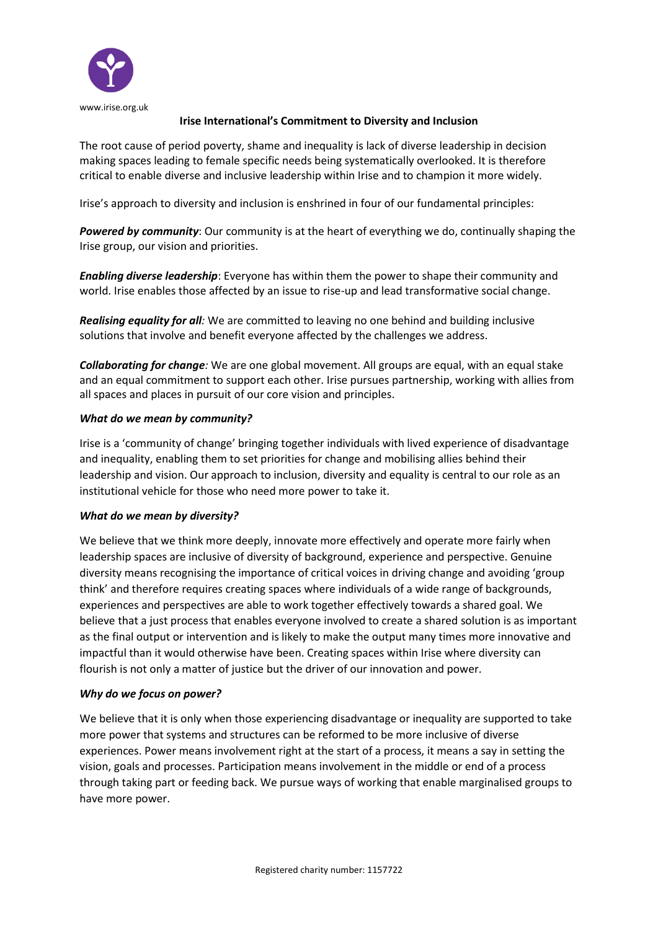

# **Irise International's Commitment to Diversity and Inclusion**

The root cause of period poverty, shame and inequality is lack of diverse leadership in decision making spaces leading to female specific needs being systematically overlooked. It is therefore critical to enable diverse and inclusive leadership within Irise and to champion it more widely.

Irise's approach to diversity and inclusion is enshrined in four of our fundamental principles:

*Powered by community*: Our community is at the heart of everything we do, continually shaping the Irise group, our vision and priorities.

*Enabling diverse leadership*: Everyone has within them the power to shape their community and world. Irise enables those affected by an issue to rise-up and lead transformative social change.

*Realising equality for all:* We are committed to leaving no one behind and building inclusive solutions that involve and benefit everyone affected by the challenges we address.

*Collaborating for change:* We are one global movement. All groups are equal, with an equal stake and an equal commitment to support each other. Irise pursues partnership, working with allies from all spaces and places in pursuit of our core vision and principles.

# *What do we mean by community?*

Irise is a 'community of change' bringing together individuals with lived experience of disadvantage and inequality, enabling them to set priorities for change and mobilising allies behind their leadership and vision. Our approach to inclusion, diversity and equality is central to our role as an institutional vehicle for those who need more power to take it.

### *What do we mean by diversity?*

We believe that we think more deeply, innovate more effectively and operate more fairly when leadership spaces are inclusive of diversity of background, experience and perspective. Genuine diversity means recognising the importance of critical voices in driving change and avoiding 'group think' and therefore requires creating spaces where individuals of a wide range of backgrounds, experiences and perspectives are able to work together effectively towards a shared goal. We believe that a just process that enables everyone involved to create a shared solution is as important as the final output or intervention and is likely to make the output many times more innovative and impactful than it would otherwise have been. Creating spaces within Irise where diversity can flourish is not only a matter of justice but the driver of our innovation and power.

### *Why do we focus on power?*

We believe that it is only when those experiencing disadvantage or inequality are supported to take more power that systems and structures can be reformed to be more inclusive of diverse experiences. Power means involvement right at the start of a process, it means a say in setting the vision, goals and processes. Participation means involvement in the middle or end of a process through taking part or feeding back. We pursue ways of working that enable marginalised groups to have more power.